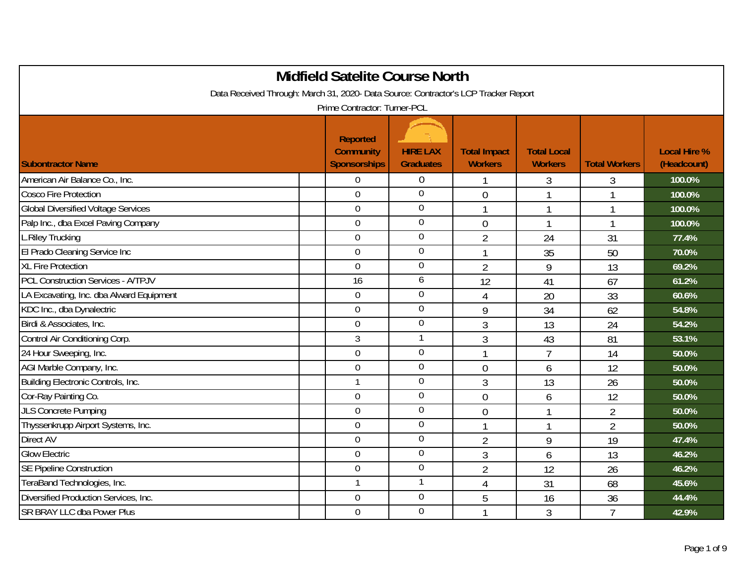|                                                                                                                     | <b>Midfield Satelite Course North</b>   |                                     |                                       |                                      |                      |                                    |  |  |  |
|---------------------------------------------------------------------------------------------------------------------|-----------------------------------------|-------------------------------------|---------------------------------------|--------------------------------------|----------------------|------------------------------------|--|--|--|
| Data Received Through: March 31, 2020- Data Source: Contractor's LCP Tracker Report<br>Prime Contractor: Turner-PCL |                                         |                                     |                                       |                                      |                      |                                    |  |  |  |
|                                                                                                                     | <b>Reported</b>                         |                                     |                                       |                                      |                      |                                    |  |  |  |
| <b>Subontractor Name</b>                                                                                            | <b>Community</b><br><b>Sponsorships</b> | <b>HIRE LAX</b><br><b>Graduates</b> | <b>Total Impact</b><br><b>Workers</b> | <b>Total Local</b><br><b>Workers</b> | <b>Total Workers</b> | <b>Local Hire %</b><br>(Headcount) |  |  |  |
| American Air Balance Co., Inc.                                                                                      | $\overline{0}$                          | $\mathbf 0$                         | 1                                     | 3                                    | 3                    | 100.0%                             |  |  |  |
| <b>Cosco Fire Protection</b>                                                                                        | $\overline{0}$                          | $\overline{0}$                      | $\overline{0}$                        |                                      |                      | 100.0%                             |  |  |  |
| <b>Global Diversified Voltage Services</b>                                                                          | $\overline{0}$                          | $\overline{0}$                      | 1                                     | 1                                    | 1                    | 100.0%                             |  |  |  |
| Palp Inc., dba Excel Paving Company                                                                                 | $\overline{0}$                          | $\overline{0}$                      | $\theta$                              | 1                                    | 1                    | 100.0%                             |  |  |  |
| L.Riley Trucking                                                                                                    | $\mathbf 0$                             | $\boldsymbol{0}$                    | $\overline{2}$                        | 24                                   | 31                   | 77.4%                              |  |  |  |
| El Prado Cleaning Service Inc                                                                                       | $\overline{0}$                          | $\boldsymbol{0}$                    | 1                                     | 35                                   | 50                   | 70.0%                              |  |  |  |
| <b>XL Fire Protection</b>                                                                                           | $\Omega$                                | $\overline{0}$                      | $\overline{2}$                        | 9                                    | 13                   | 69.2%                              |  |  |  |
| <b>PCL Construction Services - A/TPJV</b>                                                                           | 16                                      | 6                                   | 12                                    | 41                                   | 67                   | 61.2%                              |  |  |  |
| LA Excavating, Inc. dba Alward Equipment                                                                            | $\overline{0}$                          | $\mathbf 0$                         | $\overline{4}$                        | 20                                   | 33                   | 60.6%                              |  |  |  |
| KDC Inc., dba Dynalectric                                                                                           | $\overline{0}$                          | $\mathbf 0$                         | 9                                     | 34                                   | 62                   | 54.8%                              |  |  |  |
| Birdi & Associates, Inc.                                                                                            | $\mathbf 0$                             | $\boldsymbol{0}$                    | 3                                     | 13                                   | 24                   | 54.2%                              |  |  |  |
| Control Air Conditioning Corp.                                                                                      | 3                                       | $\mathbf{1}$                        | 3                                     | 43                                   | 81                   | 53.1%                              |  |  |  |
| 24 Hour Sweeping, Inc.                                                                                              | $\overline{0}$                          | $\mathbf 0$                         |                                       | $\overline{7}$                       | 14                   | 50.0%                              |  |  |  |
| AGI Marble Company, Inc.                                                                                            | $\mathbf 0$                             | $\overline{0}$                      | $\theta$                              | 6                                    | 12                   | 50.0%                              |  |  |  |
| Building Electronic Controls, Inc.                                                                                  | 1                                       | $\mathbf 0$                         | 3                                     | 13                                   | 26                   | 50.0%                              |  |  |  |
| Cor-Ray Painting Co.                                                                                                | $\overline{0}$                          | $\overline{0}$                      | $\overline{0}$                        | 6                                    | 12                   | 50.0%                              |  |  |  |
| <b>JLS Concrete Pumping</b>                                                                                         | $\boldsymbol{0}$                        | $\overline{0}$                      | $\overline{0}$                        | 1                                    | $\overline{2}$       | 50.0%                              |  |  |  |
| Thyssenkrupp Airport Systems, Inc.                                                                                  | $\overline{0}$                          | $\mathbf 0$                         | 1                                     | 1                                    | $\overline{2}$       | 50.0%                              |  |  |  |
| Direct AV                                                                                                           | $\overline{0}$                          | $\boldsymbol{0}$                    | $\overline{2}$                        | 9                                    | 19                   | 47.4%                              |  |  |  |
| <b>Glow Electric</b>                                                                                                | $\overline{0}$                          | $\mathbf 0$                         | 3                                     | 6                                    | 13                   | 46.2%                              |  |  |  |
| <b>SE Pipeline Construction</b>                                                                                     | $\mathbf 0$                             | $\overline{0}$                      | $\overline{2}$                        | 12                                   | 26                   | 46.2%                              |  |  |  |
| TeraBand Technologies, Inc.                                                                                         | 1                                       | 1                                   | $\overline{4}$                        | 31                                   | 68                   | 45.6%                              |  |  |  |
| Diversified Production Services, Inc.                                                                               | $\overline{0}$                          | $\overline{0}$                      | 5                                     | 16                                   | 36                   | 44.4%                              |  |  |  |
| <b>SR BRAY LLC dba Power Plus</b>                                                                                   | $\overline{0}$                          | $\overline{0}$                      |                                       | 3                                    | $\overline{7}$       | 42.9%                              |  |  |  |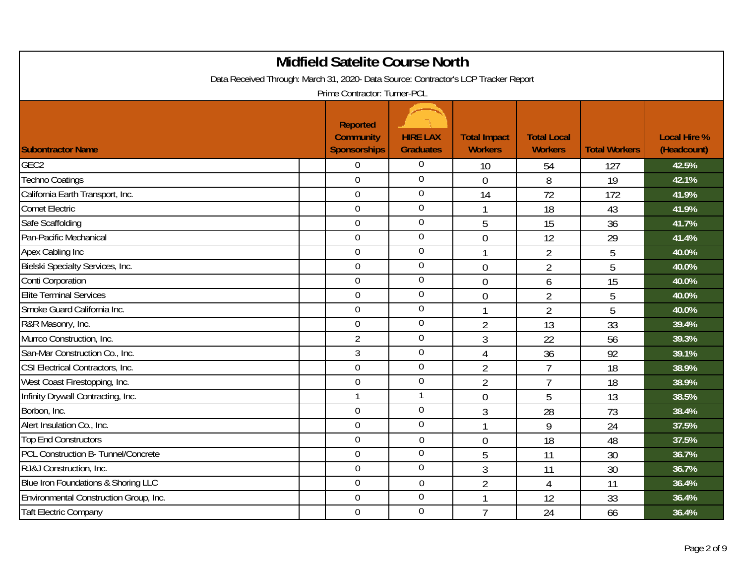|                                                                                     | <b>Midfield Satelite Course North</b>                      |                                     |                                       |                                      |                      |                                    |
|-------------------------------------------------------------------------------------|------------------------------------------------------------|-------------------------------------|---------------------------------------|--------------------------------------|----------------------|------------------------------------|
| Data Received Through: March 31, 2020- Data Source: Contractor's LCP Tracker Report | Prime Contractor: Turner-PCL                               |                                     |                                       |                                      |                      |                                    |
| <b>Subontractor Name</b>                                                            | <b>Reported</b><br><b>Community</b><br><b>Sponsorships</b> | <b>HIRE LAX</b><br><b>Graduates</b> | <b>Total Impact</b><br><b>Workers</b> | <b>Total Local</b><br><b>Workers</b> | <b>Total Workers</b> | <b>Local Hire %</b><br>(Headcount) |
| GEC <sub>2</sub>                                                                    | $\boldsymbol{0}$                                           | $\boldsymbol{0}$                    | 10                                    | 54                                   | 127                  | 42.5%                              |
| <b>Techno Coatings</b>                                                              | $\overline{0}$                                             | $\overline{0}$                      | $\overline{0}$                        | 8                                    | 19                   | 42.1%                              |
| California Earth Transport, Inc.                                                    | $\overline{0}$                                             | $\overline{0}$                      | 14                                    | 72                                   | 172                  | 41.9%                              |
| <b>Comet Electric</b>                                                               | $\overline{0}$                                             | $\overline{0}$                      | 1                                     | 18                                   | 43                   | 41.9%                              |
| Safe Scaffolding                                                                    | $\mathbf 0$                                                | $\mathbf 0$                         | 5                                     | 15                                   | 36                   | 41.7%                              |
| Pan-Pacific Mechanical                                                              | $\overline{0}$                                             | $\overline{0}$                      | $\mathbf 0$                           | 12                                   | 29                   | 41.4%                              |
| Apex Cabling Inc                                                                    | $\overline{0}$                                             | $\boldsymbol{0}$                    | 1                                     | $\overline{2}$                       | 5                    | 40.0%                              |
| Bielski Specialty Services, Inc.                                                    | $\overline{0}$                                             | $\mathbf 0$                         | $\mathbf 0$                           | $\overline{2}$                       | 5                    | 40.0%                              |
| Conti Corporation                                                                   | 0                                                          | $\mathbf 0$                         | $\overline{0}$                        | 6                                    | 15                   | 40.0%                              |
| <b>Elite Terminal Services</b>                                                      | 0                                                          | $\overline{0}$                      | $\mathbf 0$                           | $\overline{2}$                       | 5                    | 40.0%                              |
| Smoke Guard California Inc.                                                         | $\overline{0}$                                             | $\overline{0}$                      | 1                                     | $\overline{2}$                       | 5                    | 40.0%                              |
| R&R Masonry, Inc.                                                                   | $\overline{0}$                                             | $\mathbf 0$                         | $\overline{2}$                        | 13                                   | 33                   | 39.4%                              |
| Murrco Construction, Inc.                                                           | $\overline{2}$                                             | $\overline{0}$                      | $\mathfrak{Z}$                        | 22                                   | 56                   | 39.3%                              |
| San-Mar Construction Co., Inc.                                                      | 3                                                          | $\boldsymbol{0}$                    | $\overline{4}$                        | 36                                   | 92                   | 39.1%                              |
| CSI Electrical Contractors, Inc.                                                    | $\mathbf 0$                                                | $\mathbf 0$                         | $\overline{2}$                        | $\overline{7}$                       | 18                   | 38.9%                              |
| West Coast Firestopping, Inc.                                                       | $\overline{0}$                                             | $\boldsymbol{0}$                    | $\overline{2}$                        | $\overline{7}$                       | 18                   | 38.9%                              |
| Infinity Drywall Contracting, Inc.                                                  | $\mathbf{1}$                                               | $\mathbf{1}$                        | $\overline{0}$                        | 5                                    | 13                   | 38.5%                              |
| Borbon, Inc.                                                                        | $\mathbf 0$                                                | $\mathbf 0$                         | $\mathfrak{Z}$                        | 28                                   | 73                   | 38.4%                              |
| Alert Insulation Co., Inc.                                                          | $\overline{0}$                                             | $\mathbf 0$                         | $\mathbf{1}$                          | 9                                    | 24                   | 37.5%                              |
| <b>Top End Constructors</b>                                                         | $\overline{0}$                                             | $\overline{0}$                      | $\overline{0}$                        | 18                                   | 48                   | 37.5%                              |
| PCL Construction B- Tunnel/Concrete                                                 | $\overline{0}$                                             | $\mathbf 0$                         | 5                                     | 11                                   | 30                   | 36.7%                              |
| RJ&J Construction, Inc.                                                             | 0                                                          | $\overline{0}$                      | $\overline{3}$                        | 11                                   | 30                   | 36.7%                              |
| Blue Iron Foundations & Shoring LLC                                                 | $\overline{0}$                                             | $\boldsymbol{0}$                    | $\overline{2}$                        | $\overline{4}$                       | 11                   | 36.4%                              |
| Environmental Construction Group, Inc.                                              | 0                                                          | $\overline{0}$                      |                                       | 12                                   | 33                   | 36.4%                              |
| <b>Taft Electric Company</b>                                                        | $\mathbf 0$                                                | $\overline{0}$                      | $\overline{7}$                        | 24                                   | 66                   | 36.4%                              |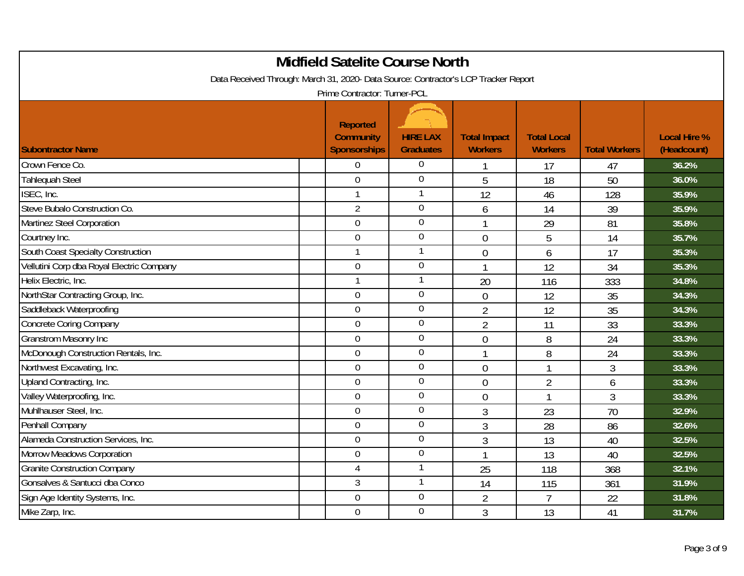|                                                                                     | <b>Midfield Satelite Course North</b> |                  |                     |                    |                      |                     |
|-------------------------------------------------------------------------------------|---------------------------------------|------------------|---------------------|--------------------|----------------------|---------------------|
| Data Received Through: March 31, 2020- Data Source: Contractor's LCP Tracker Report |                                       |                  |                     |                    |                      |                     |
|                                                                                     | Prime Contractor: Turner-PCL          |                  |                     |                    |                      |                     |
|                                                                                     | <b>Reported</b>                       |                  |                     |                    |                      |                     |
|                                                                                     | <b>Community</b>                      | <b>HIRE LAX</b>  | <b>Total Impact</b> | <b>Total Local</b> |                      | <b>Local Hire %</b> |
| <b>Subontractor Name</b>                                                            | <b>Sponsorships</b>                   | <b>Graduates</b> | <b>Workers</b>      | <b>Workers</b>     | <b>Total Workers</b> | (Headcount)         |
| Crown Fence Co.                                                                     | $\overline{0}$                        | $\boldsymbol{0}$ |                     | 17                 | 47                   | 36.2%               |
| Tahlequah Steel                                                                     | $\overline{0}$                        | $\overline{0}$   | 5                   | 18                 | 50                   | 36.0%               |
| ISEC, Inc.                                                                          | $\mathbf{1}$                          | $\mathbf{1}$     | 12                  | 46                 | 128                  | 35.9%               |
| Steve Bubalo Construction Co.                                                       | $\overline{2}$                        | $\overline{0}$   | 6                   | 14                 | 39                   | 35.9%               |
| Martinez Steel Corporation                                                          | $\overline{0}$                        | $\overline{0}$   | 1                   | 29                 | 81                   | 35.8%               |
| Courtney Inc.                                                                       | $\overline{0}$                        | $\mathbf 0$      | $\overline{0}$      | 5                  | 14                   | 35.7%               |
| South Coast Specialty Construction                                                  | $\overline{1}$                        | $\mathbf{1}$     | $\mathbf 0$         | 6                  | 17                   | 35.3%               |
| Vellutini Corp dba Royal Electric Company                                           | $\overline{0}$                        | $\boldsymbol{0}$ | 1                   | 12                 | 34                   | 35.3%               |
| Helix Electric, Inc.                                                                | $\overline{1}$                        | $\mathbf{1}$     | 20                  | 116                | 333                  | 34.8%               |
| NorthStar Contracting Group, Inc.                                                   | $\overline{0}$                        | $\overline{0}$   | $\mathbf 0$         | 12                 | 35                   | 34.3%               |
| Saddleback Waterproofing                                                            | $\overline{0}$                        | $\boldsymbol{0}$ | $\overline{2}$      | 12                 | 35                   | 34.3%               |
| <b>Concrete Coring Company</b>                                                      | $\mathbf 0$                           | $\mathbf 0$      | 2                   | 11                 | 33                   | 33.3%               |
| <b>Granstrom Masonry Inc</b>                                                        | $\overline{0}$                        | $\overline{0}$   | $\overline{0}$      | 8                  | 24                   | 33.3%               |
| McDonough Construction Rentals, Inc.                                                | $\overline{0}$                        | $\overline{0}$   |                     | 8                  | 24                   | 33.3%               |
| Northwest Excavating, Inc.                                                          | $\mathbf 0$                           | $\boldsymbol{0}$ | $\mathbf 0$         | 1                  | 3                    | 33.3%               |
| Upland Contracting, Inc.                                                            | $\overline{0}$                        | $\overline{0}$   | $\overline{0}$      | $\overline{2}$     | 6                    | 33.3%               |
| Valley Waterproofing, Inc.                                                          | $\overline{0}$                        | $\overline{0}$   | $\overline{0}$      | $\mathbf{1}$       | $\overline{3}$       | 33.3%               |
| Muhlhauser Steel, Inc.                                                              | $\mathbf 0$                           | $\boldsymbol{0}$ | 3                   | 23                 | 70                   | 32.9%               |
| Penhall Company                                                                     | $\mathbf 0$                           | $\mathbf 0$      | 3                   | 28                 | 86                   | 32.6%               |
| Alameda Construction Services, Inc.                                                 | $\overline{0}$                        | $\overline{0}$   | 3                   | 13                 | 40                   | 32.5%               |
| Morrow Meadows Corporation                                                          | $\overline{0}$                        | $\mathbf 0$      | 1                   | 13                 | 40                   | 32.5%               |
| <b>Granite Construction Company</b>                                                 | 4                                     | $\mathbf{1}$     | 25                  | 118                | 368                  | 32.1%               |
| Gonsalves & Santucci dba Conco                                                      | $\mathfrak{Z}$                        | $\mathbf{1}$     | 14                  | 115                | 361                  | 31.9%               |
| Sign Age Identity Systems, Inc.                                                     | $\overline{0}$                        | $\overline{0}$   | $\overline{2}$      | $\overline{7}$     | 22                   | 31.8%               |
| Mike Zarp, Inc.                                                                     | $\Omega$                              | $\overline{0}$   | 3                   | 13                 | 41                   | 31.7%               |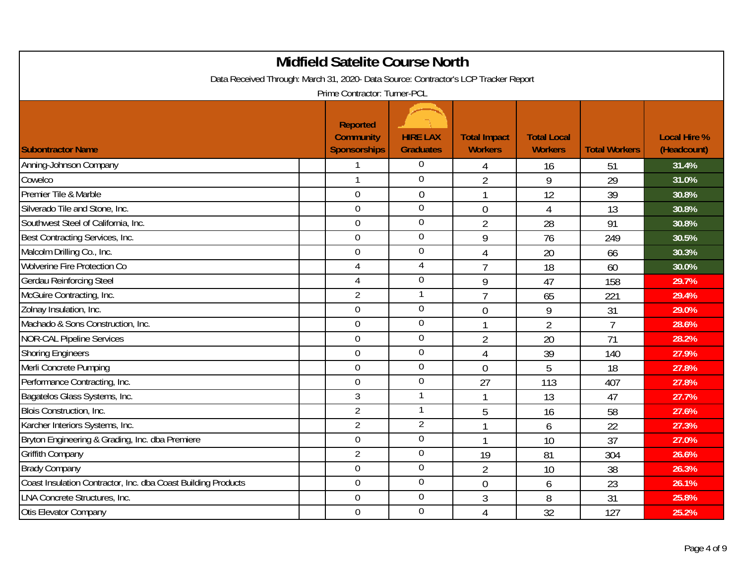|                                                                                     | <b>Midfield Satelite Course North</b>                      |                                     |                                       |                                      |                      |                                    |
|-------------------------------------------------------------------------------------|------------------------------------------------------------|-------------------------------------|---------------------------------------|--------------------------------------|----------------------|------------------------------------|
| Data Received Through: March 31, 2020- Data Source: Contractor's LCP Tracker Report | Prime Contractor: Turner-PCL                               |                                     |                                       |                                      |                      |                                    |
| <b>Subontractor Name</b>                                                            | <b>Reported</b><br><b>Community</b><br><b>Sponsorships</b> | <b>HIRE LAX</b><br><b>Graduates</b> | <b>Total Impact</b><br><b>Workers</b> | <b>Total Local</b><br><b>Workers</b> | <b>Total Workers</b> | <b>Local Hire %</b><br>(Headcount) |
| Anning-Johnson Company                                                              |                                                            | $\boldsymbol{0}$                    | 4                                     | 16                                   | 51                   | 31.4%                              |
| Cowelco                                                                             | $\mathbf{1}$                                               | $\overline{0}$                      | $\overline{2}$                        | 9                                    | 29                   | 31.0%                              |
| Premier Tile & Marble                                                               | $\overline{0}$                                             | $\mathbf 0$                         | 1                                     | 12                                   | 39                   | 30.8%                              |
| Silverado Tile and Stone, Inc.                                                      | $\overline{0}$                                             | $\overline{0}$                      | $\overline{0}$                        | 4                                    | 13                   | 30.8%                              |
| Southwest Steel of California, Inc.                                                 | $\mathbf 0$                                                | $\mathbf 0$                         | $\overline{2}$                        | 28                                   | 91                   | 30.8%                              |
| Best Contracting Services, Inc.                                                     | $\overline{0}$                                             | $\boldsymbol{0}$                    | 9                                     | 76                                   | 249                  | 30.5%                              |
| Malcolm Drilling Co., Inc.                                                          | $\mathbf 0$                                                | $\boldsymbol{0}$                    | 4                                     | 20                                   | 66                   | 30.3%                              |
| Wolverine Fire Protection Co                                                        | 4                                                          | 4                                   | $\overline{7}$                        | 18                                   | 60                   | 30.0%                              |
| Gerdau Reinforcing Steel                                                            | 4                                                          | $\mathbf 0$                         | 9                                     | 47                                   | 158                  | 29.7%                              |
| McGuire Contracting, Inc.                                                           | $\overline{2}$                                             | 1                                   | $\overline{1}$                        | 65                                   | 221                  | 29.4%                              |
| Zolnay Insulation, Inc.                                                             | $\overline{0}$                                             | $\overline{0}$                      | $\mathbf 0$                           | 9                                    | 31                   | 29.0%                              |
| Machado & Sons Construction, Inc.                                                   | $\overline{0}$                                             | $\mathbf 0$                         | 1                                     | $\overline{2}$                       | $\overline{7}$       | 28.6%                              |
| <b>NOR-CAL Pipeline Services</b>                                                    | $\overline{0}$                                             | $\overline{0}$                      | $\overline{2}$                        | 20                                   | 71                   | 28.2%                              |
| <b>Shoring Engineers</b>                                                            | $\boldsymbol{0}$                                           | $\boldsymbol{0}$                    | $\overline{4}$                        | 39                                   | 140                  | 27.9%                              |
| Merli Concrete Pumping                                                              | $\mathbf 0$                                                | $\mathbf 0$                         | $\overline{0}$                        | 5                                    | 18                   | 27.8%                              |
| Performance Contracting, Inc.                                                       | $\overline{0}$                                             | $\boldsymbol{0}$                    | 27                                    | 113                                  | 407                  | 27.8%                              |
| Bagatelos Glass Systems, Inc.                                                       | 3                                                          | 1                                   | 1                                     | 13                                   | 47                   | 27.7%                              |
| Blois Construction, Inc.                                                            | $\overline{2}$                                             | $\mathbf{1}$                        | 5                                     | 16                                   | 58                   | 27.6%                              |
| Karcher Interiors Systems, Inc.                                                     | $\overline{2}$                                             | $\overline{2}$                      | 1                                     | 6                                    | 22                   | 27.3%                              |
| Bryton Engineering & Grading, Inc. dba Premiere                                     | $\overline{0}$                                             | $\overline{0}$                      | 1                                     | 10                                   | 37                   | 27.0%                              |
| Griffith Company                                                                    | $\overline{2}$                                             | $\mathbf 0$                         | 19                                    | 81                                   | 304                  | 26.6%                              |
| <b>Brady Company</b>                                                                | $\boldsymbol{0}$                                           | $\overline{0}$                      | $\overline{2}$                        | 10                                   | 38                   | 26.3%                              |
| Coast Insulation Contractor, Inc. dba Coast Building Products                       | $\overline{0}$                                             | $\boldsymbol{0}$                    | $\overline{0}$                        | 6                                    | 23                   | 26.1%                              |
| <b>LNA Concrete Structures, Inc.</b>                                                | $\overline{0}$                                             | $\overline{0}$                      | 3                                     | 8                                    | 31                   | 25.8%                              |
| Otis Elevator Company                                                               | $\mathbf 0$                                                | $\overline{0}$                      | $\overline{4}$                        | 32                                   | 127                  | 25.2%                              |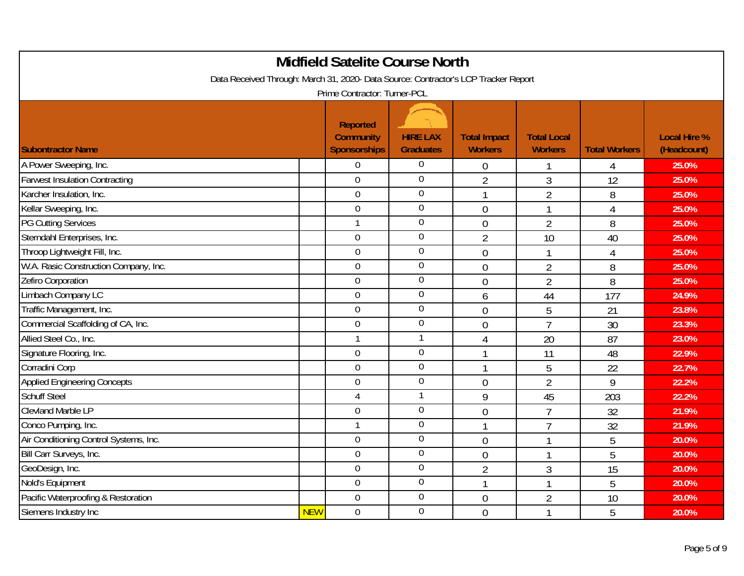| <b>Midfield Satelite Course North</b>                                                                               |            |                                                            |                                     |                                       |                                      |                      |                                    |  |  |
|---------------------------------------------------------------------------------------------------------------------|------------|------------------------------------------------------------|-------------------------------------|---------------------------------------|--------------------------------------|----------------------|------------------------------------|--|--|
| Data Received Through: March 31, 2020- Data Source: Contractor's LCP Tracker Report<br>Prime Contractor: Turner-PCL |            |                                                            |                                     |                                       |                                      |                      |                                    |  |  |
| <b>Subontractor Name</b>                                                                                            |            | <b>Reported</b><br><b>Community</b><br><b>Sponsorships</b> | <b>HIRE LAX</b><br><b>Graduates</b> | <b>Total Impact</b><br><b>Workers</b> | <b>Total Local</b><br><b>Workers</b> | <b>Total Workers</b> | <b>Local Hire %</b><br>(Headcount) |  |  |
| A Power Sweeping, Inc.                                                                                              |            | $\overline{0}$                                             | $\boldsymbol{0}$                    | $\theta$                              | 1                                    | 4                    | 25.0%                              |  |  |
| <b>Farwest Insulation Contracting</b>                                                                               |            | $\overline{0}$                                             | $\overline{0}$                      | $\overline{2}$                        | 3                                    | 12                   | 25.0%                              |  |  |
| Karcher Insulation, Inc.                                                                                            |            | $\mathbf 0$                                                | $\overline{0}$                      | $\mathbf{1}$                          | $\overline{2}$                       | 8                    | 25.0%                              |  |  |
| Kellar Sweeping, Inc.                                                                                               |            | $\mathbf 0$                                                | $\overline{0}$                      | $\overline{0}$                        | $\mathbf{1}$                         | $\overline{4}$       | 25.0%                              |  |  |
| <b>PG Cutting Services</b>                                                                                          |            | $\mathbf{1}$                                               | $\boldsymbol{0}$                    | $\overline{0}$                        | $\overline{2}$                       | 8                    | 25.0%                              |  |  |
| Sterndahl Enterprises, Inc.                                                                                         |            | $\overline{0}$                                             | $\mathbf 0$                         | $\overline{2}$                        | 10                                   | 40                   | 25.0%                              |  |  |
| Throop Lightweight Fill, Inc.                                                                                       |            | $\overline{0}$                                             | $\boldsymbol{0}$                    | $\mathbf 0$                           | $\mathbf{1}$                         | $\overline{4}$       | 25.0%                              |  |  |
| W.A. Rasic Construction Company, Inc.                                                                               |            | $\overline{0}$                                             | $\mathbf 0$                         | $\overline{0}$                        | $\overline{2}$                       | 8                    | 25.0%                              |  |  |
| Zefiro Corporation                                                                                                  |            | $\overline{0}$                                             | $\mathbf 0$                         | $\overline{0}$                        | $\overline{2}$                       | 8                    | 25.0%                              |  |  |
| Limbach Company LC                                                                                                  |            | $\overline{0}$                                             | $\mathbf 0$                         | 6                                     | 44                                   | 177                  | 24.9%                              |  |  |
| Traffic Management, Inc.                                                                                            |            | $\overline{0}$                                             | $\mathbf 0$                         | $\overline{0}$                        | 5                                    | 21                   | 23.8%                              |  |  |
| Commercial Scaffolding of CA, Inc.                                                                                  |            | $\overline{0}$                                             | $\boldsymbol{0}$                    | $\overline{0}$                        | $\overline{7}$                       | 30                   | 23.3%                              |  |  |
| Allied Steel Co., Inc.                                                                                              |            | 1                                                          | $\mathbf{1}$                        | 4                                     | 20                                   | 87                   | 23.0%                              |  |  |
| Signature Flooring, Inc.                                                                                            |            | $\mathbf 0$                                                | $\boldsymbol{0}$                    | 1                                     | 11                                   | 48                   | 22.9%                              |  |  |
| Corradini Corp                                                                                                      |            | $\overline{0}$                                             | $\boldsymbol{0}$                    | 1                                     | 5                                    | 22                   | 22.7%                              |  |  |
| <b>Applied Engineering Concepts</b>                                                                                 |            | $\mathbf 0$                                                | $\mathbf 0$                         | $\overline{0}$                        | $\overline{2}$                       | 9                    | 22.2%                              |  |  |
| <b>Schuff Steel</b>                                                                                                 |            | 4                                                          | $\mathbf{1}$                        | 9                                     | 45                                   | 203                  | 22.2%                              |  |  |
| <b>Clevland Marble LP</b>                                                                                           |            | $\boldsymbol{0}$                                           | $\mathbf 0$                         | $\mathbf 0$                           | $\overline{7}$                       | 32                   | 21.9%                              |  |  |
| Conco Pumping, Inc.                                                                                                 |            | 1                                                          | $\mathbf 0$                         | 1                                     | $\overline{7}$                       | 32                   | 21.9%                              |  |  |
| Air Conditioning Control Systems, Inc.                                                                              |            | $\overline{0}$                                             | $\overline{0}$                      | $\overline{0}$                        | 1                                    | 5                    | 20.0%                              |  |  |
| Bill Carr Surveys, Inc.                                                                                             |            | $\overline{0}$                                             | $\mathbf 0$                         | $\mathbf{0}$                          | $\mathbf{1}$                         | 5                    | 20.0%                              |  |  |
| GeoDesign, Inc.                                                                                                     |            | $\overline{0}$                                             | $\boldsymbol{0}$                    | $\overline{2}$                        | 3                                    | 15                   | 20.0%                              |  |  |
| Nold's Equipment                                                                                                    |            | $\boldsymbol{0}$                                           | $\boldsymbol{0}$                    | $\mathbf{1}$                          | $\mathbf{1}$                         | 5                    | 20.0%                              |  |  |
| Pacific Waterproofing & Restoration                                                                                 |            | $\overline{0}$                                             | $\mathbf 0$                         | $\mathbf 0$                           | $\overline{2}$                       | 10                   | 20.0%                              |  |  |
| Siemens Industry Inc                                                                                                | <b>NEW</b> | $\mathbf 0$                                                | $\overline{0}$                      | $\overline{0}$                        | $\mathbf{1}$                         | 5                    | 20.0%                              |  |  |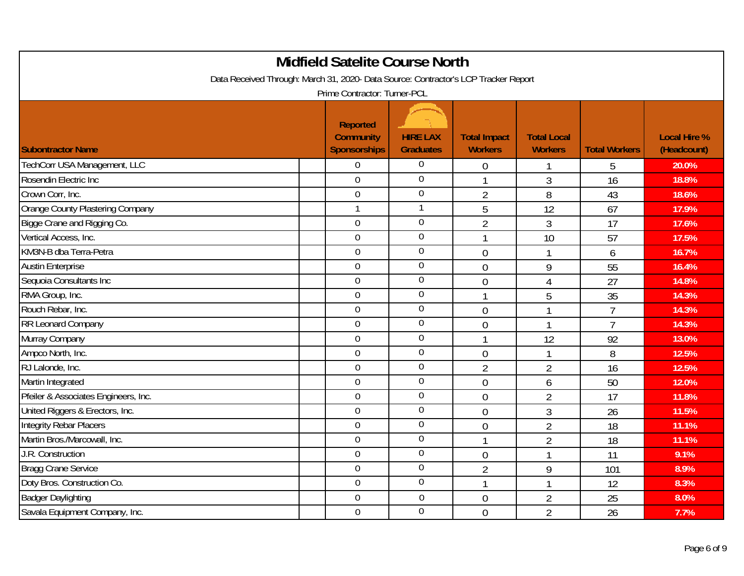| <b>Midfield Satelite Course North</b>                                               |                                                            |                                     |                                       |                                      |                      |                                    |  |  |  |
|-------------------------------------------------------------------------------------|------------------------------------------------------------|-------------------------------------|---------------------------------------|--------------------------------------|----------------------|------------------------------------|--|--|--|
| Data Received Through: March 31, 2020- Data Source: Contractor's LCP Tracker Report |                                                            |                                     |                                       |                                      |                      |                                    |  |  |  |
| Prime Contractor: Turner-PCL                                                        |                                                            |                                     |                                       |                                      |                      |                                    |  |  |  |
| <b>Subontractor Name</b>                                                            | <b>Reported</b><br><b>Community</b><br><b>Sponsorships</b> | <b>HIRE LAX</b><br><b>Graduates</b> | <b>Total Impact</b><br><b>Workers</b> | <b>Total Local</b><br><b>Workers</b> | <b>Total Workers</b> | <b>Local Hire %</b><br>(Headcount) |  |  |  |
| TechCorr USA Management, LLC                                                        | $\overline{0}$                                             | $\boldsymbol{0}$                    | $\mathbf 0$                           | 1                                    | 5                    | 20.0%                              |  |  |  |
| Rosendin Electric Inc                                                               | $\overline{0}$                                             | $\overline{0}$                      | 1                                     | 3                                    | 16                   | 18.8%                              |  |  |  |
| Crown Corr, Inc.                                                                    | $\overline{0}$                                             | $\overline{0}$                      | $\overline{2}$                        | 8                                    | 43                   | 18.6%                              |  |  |  |
| Orange County Plastering Company                                                    |                                                            | 1                                   | 5                                     | 12                                   | 67                   | 17.9%                              |  |  |  |
| Bigge Crane and Rigging Co.                                                         | $\overline{0}$                                             | $\mathbf 0$                         | $\overline{2}$                        | 3                                    | 17                   | 17.6%                              |  |  |  |
| Vertical Access, Inc.                                                               | $\overline{0}$                                             | $\overline{0}$                      | 1                                     | 10                                   | 57                   | 17.5%                              |  |  |  |
| KM3N-B dba Terra-Petra                                                              | $\mathbf 0$                                                | $\boldsymbol{0}$                    | $\overline{0}$                        | 1                                    | 6                    | 16.7%                              |  |  |  |
| <b>Austin Enterprise</b>                                                            | $\mathbf 0$                                                | $\overline{0}$                      | $\overline{0}$                        | 9                                    | 55                   | 16.4%                              |  |  |  |
| Sequoia Consultants Inc                                                             | $\overline{0}$                                             | $\boldsymbol{0}$                    | $\overline{0}$                        | $\overline{4}$                       | 27                   | 14.8%                              |  |  |  |
| RMA Group, Inc.                                                                     | $\overline{0}$                                             | $\mathbf 0$                         | $\mathbf 1$                           | 5                                    | 35                   | 14.3%                              |  |  |  |
| Rouch Rebar, Inc.                                                                   | $\mathbf 0$                                                | $\mathbf 0$                         | $\overline{0}$                        | 1                                    | $\overline{7}$       | 14.3%                              |  |  |  |
| RR Leonard Company                                                                  | $\overline{0}$                                             | $\mathbf 0$                         | $\overline{0}$                        | 1                                    | $\overline{7}$       | 14.3%                              |  |  |  |
| Murray Company                                                                      | $\overline{0}$                                             | $\overline{0}$                      | 1                                     | 12                                   | 92                   | 13.0%                              |  |  |  |
| Ampco North, Inc.                                                                   | $\overline{0}$                                             | $\mathbf 0$                         | $\mathbf 0$                           |                                      | 8                    | 12.5%                              |  |  |  |
| RJ Lalonde, Inc.                                                                    | $\mathbf 0$                                                | $\overline{0}$                      | $\overline{2}$                        | $\overline{2}$                       | 16                   | 12.5%                              |  |  |  |
| Martin Integrated                                                                   | $\boldsymbol{0}$                                           | $\overline{0}$                      | $\overline{0}$                        | 6                                    | 50                   | 12.0%                              |  |  |  |
| Pfeiler & Associates Engineers, Inc.                                                | $\overline{0}$                                             | $\overline{0}$                      | $\overline{0}$                        | $\overline{2}$                       | 17                   | 11.8%                              |  |  |  |
| United Riggers & Erectors, Inc.                                                     | $\mathbf 0$                                                | $\mathbf 0$                         | $\overline{0}$                        | 3                                    | 26                   | 11.5%                              |  |  |  |
| Integrity Rebar Placers                                                             | $\overline{0}$                                             | $\overline{0}$                      | $\mathbf 0$                           | $\overline{2}$                       | 18                   | 11.1%                              |  |  |  |
| Martin Bros./Marcowall, Inc.                                                        | $\overline{0}$                                             | $\boldsymbol{0}$                    | 1                                     | $\overline{2}$                       | 18                   | 11.1%                              |  |  |  |
| J.R. Construction                                                                   | $\overline{0}$                                             | $\mathbf 0$                         | $\mathbf 0$                           | 1                                    | 11                   | 9.1%                               |  |  |  |
| <b>Bragg Crane Service</b>                                                          | $\overline{0}$                                             | $\overline{0}$                      | $\overline{2}$                        | 9                                    | 101                  | 8.9%                               |  |  |  |
| Doty Bros. Construction Co.                                                         | $\overline{0}$                                             | $\mathbf 0$                         | 1                                     | 1                                    | 12                   | 8.3%                               |  |  |  |
| <b>Badger Daylighting</b>                                                           | $\overline{0}$                                             | $\mathbf 0$                         | $\overline{0}$                        | $\overline{2}$                       | 25                   | 8.0%                               |  |  |  |
| Savala Equipment Company, Inc.                                                      | $\mathbf 0$                                                | $\overline{0}$                      | $\overline{0}$                        | $\overline{2}$                       | 26                   | 7.7%                               |  |  |  |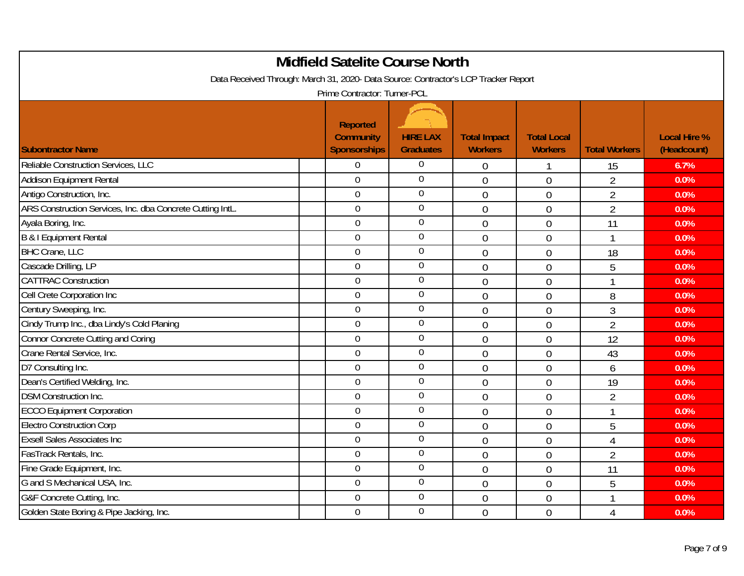| Data Received Through: March 31, 2020- Data Source: Contractor's LCP Tracker Report |                                                            | <b>Midfield Satelite Course North</b> |                                       |                                      |                      |                                    |
|-------------------------------------------------------------------------------------|------------------------------------------------------------|---------------------------------------|---------------------------------------|--------------------------------------|----------------------|------------------------------------|
|                                                                                     | Prime Contractor: Turner-PCL                               |                                       |                                       |                                      |                      |                                    |
| <b>Subontractor Name</b>                                                            | <b>Reported</b><br><b>Community</b><br><b>Sponsorships</b> | <b>HIRE LAX</b><br><b>Graduates</b>   | <b>Total Impact</b><br><b>Workers</b> | <b>Total Local</b><br><b>Workers</b> | <b>Total Workers</b> | <b>Local Hire %</b><br>(Headcount) |
| Reliable Construction Services, LLC                                                 | 0                                                          | 0                                     | $\boldsymbol{0}$                      | 1                                    | 15                   | 6.7%                               |
| Addison Equipment Rental                                                            | $\overline{0}$                                             | $\boldsymbol{0}$                      | $\overline{0}$                        | $\overline{0}$                       | $\overline{2}$       | 0.0%                               |
| Antigo Construction, Inc.                                                           | $\overline{0}$                                             | $\overline{0}$                        | $\overline{0}$                        | 0                                    | $\overline{2}$       | 0.0%                               |
| ARS Construction Services, Inc. dba Concrete Cutting IntL.                          | $\overline{0}$                                             | $\boldsymbol{0}$                      | $\mathbf 0$                           | $\mathbf 0$                          | $\overline{2}$       | 0.0%                               |
| Ayala Boring, Inc.                                                                  | $\overline{0}$                                             | $\boldsymbol{0}$                      | $\overline{0}$                        | $\overline{0}$                       | 11                   | 0.0%                               |
| B & I Equipment Rental                                                              | $\overline{0}$                                             | $\mathbf 0$                           | $\overline{0}$                        | 0                                    |                      | 0.0%                               |
| <b>BHC Crane, LLC</b>                                                               | $\overline{0}$                                             | $\mathbf 0$                           | $\mathbf 0$                           | $\mathbf 0$                          | 18                   | 0.0%                               |
| Cascade Drilling, LP                                                                | $\mathbf 0$                                                | $\boldsymbol{0}$                      | $\overline{0}$                        | $\overline{0}$                       | 5                    | 0.0%                               |
| <b>CATTRAC Construction</b>                                                         | $\overline{0}$                                             | $\boldsymbol{0}$                      | $\overline{0}$                        | $\overline{0}$                       | 1                    | 0.0%                               |
| Cell Crete Corporation Inc                                                          | $\overline{0}$                                             | $\mathbf 0$                           | $\overline{0}$                        | 0                                    | 8                    | 0.0%                               |
| Century Sweeping, Inc.                                                              | $\overline{0}$                                             | $\mathbf 0$                           | $\overline{0}$                        | $\mathbf 0$                          | 3                    | 0.0%                               |
| Cindy Trump Inc., dba Lindy's Cold Planing                                          | $\overline{0}$                                             | $\mathbf 0$                           | $\overline{0}$                        | $\overline{0}$                       | $\overline{2}$       | 0.0%                               |
| Connor Concrete Cutting and Coring                                                  | $\overline{0}$                                             | $\boldsymbol{0}$                      | $\overline{0}$                        | 0                                    | 12                   | 0.0%                               |
| Crane Rental Service, Inc.                                                          | $\overline{0}$                                             | $\mathbf 0$                           | $\mathbf 0$                           | $\mathbf 0$                          | 43                   | 0.0%                               |
| D7 Consulting Inc.                                                                  | $\mathbf 0$                                                | $\boldsymbol{0}$                      | $\mathbf 0$                           | $\mathbf 0$                          | 6                    | 0.0%                               |
| Dean's Certified Welding, Inc.                                                      | $\overline{0}$                                             | $\mathbf 0$                           | $\overline{0}$                        | 0                                    | 19                   | 0.0%                               |
| <b>DSM Construction Inc.</b>                                                        | $\overline{0}$                                             | $\overline{0}$                        | $\overline{0}$                        | 0                                    | $\overline{2}$       | 0.0%                               |
| <b>ECCO Equipment Corporation</b>                                                   | $\mathbf 0$                                                | $\mathbf 0$                           | $\overline{0}$                        | $\overline{0}$                       | 1                    | 0.0%                               |
| <b>Electro Construction Corp</b>                                                    | $\overline{0}$                                             | $\boldsymbol{0}$                      | $\overline{0}$                        | $\overline{0}$                       | 5                    | 0.0%                               |
| <b>Exsell Sales Associates Inc.</b>                                                 | $\mathbf 0$                                                | $\boldsymbol{0}$                      | $\overline{0}$                        | $\overline{0}$                       | $\overline{4}$       | 0.0%                               |
| FasTrack Rentals, Inc.                                                              | $\overline{0}$                                             | $\boldsymbol{0}$                      | $\overline{0}$                        | 0                                    | $\overline{2}$       | 0.0%                               |
| Fine Grade Equipment, Inc.                                                          | $\mathbf 0$                                                | $\boldsymbol{0}$                      | $\overline{0}$                        | $\overline{0}$                       | 11                   | 0.0%                               |
| G and S Mechanical USA, Inc.                                                        | $\overline{0}$                                             | $\mathbf 0$                           | $\mathbf 0$                           | $\mathbf 0$                          | 5                    | 0.0%                               |
| G&F Concrete Cutting, Inc.                                                          | $\overline{0}$                                             | $\overline{0}$                        | $\overline{0}$                        | 0                                    | 1                    | 0.0%                               |
| Golden State Boring & Pipe Jacking, Inc.                                            | $\Omega$                                                   | $\overline{0}$                        | $\overline{0}$                        | 0                                    | $\overline{4}$       | 0.0%                               |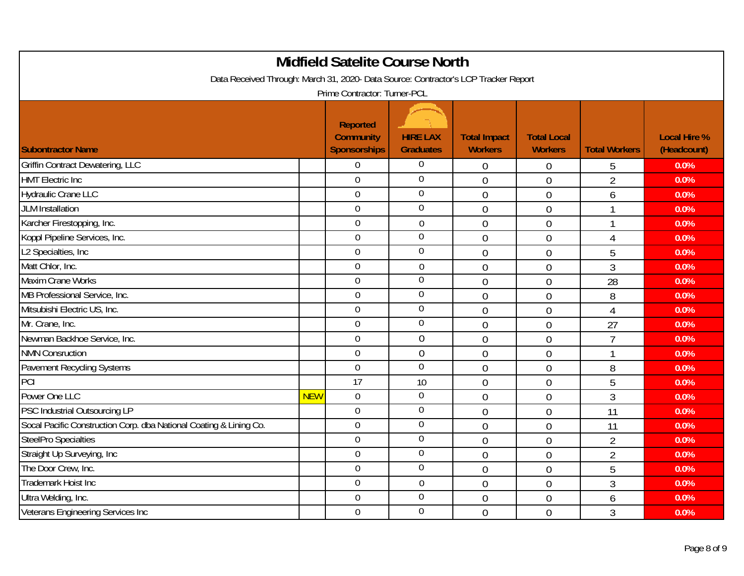| <b>Midfield Satelite Course North</b><br>Data Received Through: March 31, 2020- Data Source: Contractor's LCP Tracker Report |            |                                                            |                                     |                                       |                                      |                      |                                    |  |
|------------------------------------------------------------------------------------------------------------------------------|------------|------------------------------------------------------------|-------------------------------------|---------------------------------------|--------------------------------------|----------------------|------------------------------------|--|
|                                                                                                                              |            | Prime Contractor: Turner-PCL                               |                                     |                                       |                                      |                      |                                    |  |
| <b>Subontractor Name</b>                                                                                                     |            | <b>Reported</b><br><b>Community</b><br><b>Sponsorships</b> | <b>HIRE LAX</b><br><b>Graduates</b> | <b>Total Impact</b><br><b>Workers</b> | <b>Total Local</b><br><b>Workers</b> | <b>Total Workers</b> | <b>Local Hire %</b><br>(Headcount) |  |
| <b>Griffin Contract Dewatering, LLC</b>                                                                                      |            | $\overline{0}$                                             | 0                                   | $\mathbf 0$                           | 0                                    | 5                    | 0.0%                               |  |
| <b>HMT Electric Inc</b>                                                                                                      |            | $\overline{0}$                                             | $\overline{0}$                      | $\overline{0}$                        | $\mathbf 0$                          | $\overline{2}$       | 0.0%                               |  |
| <b>Hydraulic Crane LLC</b>                                                                                                   |            | $\overline{0}$                                             | $\overline{0}$                      | $\overline{0}$                        | $\mathbf 0$                          | 6                    | 0.0%                               |  |
| <b>JLM</b> Installation                                                                                                      |            | $\overline{0}$                                             | $\boldsymbol{0}$                    | $\overline{0}$                        | $\overline{0}$                       |                      | 0.0%                               |  |
| Karcher Firestopping, Inc.                                                                                                   |            | $\mathbf 0$                                                | $\boldsymbol{0}$                    | $\overline{0}$                        | $\overline{0}$                       | 1                    | 0.0%                               |  |
| Koppl Pipeline Services, Inc.                                                                                                |            | $\overline{0}$                                             | $\boldsymbol{0}$                    | $\mathbf 0$                           | 0                                    | $\overline{4}$       | 0.0%                               |  |
| L2 Specialties, Inc                                                                                                          |            | $\boldsymbol{0}$                                           | $\boldsymbol{0}$                    | $\overline{0}$                        | $\overline{0}$                       | 5                    | 0.0%                               |  |
| Matt Chlor, Inc.                                                                                                             |            | $\overline{0}$                                             | $\boldsymbol{0}$                    | $\mathbf 0$                           | $\mathbf 0$                          | 3                    | 0.0%                               |  |
| <b>Maxim Crane Works</b>                                                                                                     |            | $\overline{0}$                                             | $\overline{0}$                      | $\overline{0}$                        | $\overline{0}$                       | 28                   | 0.0%                               |  |
| MB Professional Service, Inc.                                                                                                |            | $\overline{0}$                                             | $\overline{0}$                      | $\overline{0}$                        | $\overline{0}$                       | 8                    | 0.0%                               |  |
| Mitsubishi Electric US, Inc.                                                                                                 |            | $\overline{0}$                                             | $\overline{0}$                      | $\mathbf 0$                           | $\mathbf 0$                          | 4                    | 0.0%                               |  |
| Mr. Crane, Inc.                                                                                                              |            | $\overline{0}$                                             | $\mathbf 0$                         | $\overline{0}$                        | $\overline{0}$                       | 27                   | 0.0%                               |  |
| Newman Backhoe Service, Inc.                                                                                                 |            | $\overline{0}$                                             | $\mathbf 0$                         | $\overline{0}$                        | 0                                    | $\overline{7}$       | 0.0%                               |  |
| <b>NMN Consruction</b>                                                                                                       |            | $\mathbf 0$                                                | $\mathbf 0$                         | $\overline{0}$                        | $\overline{0}$                       | 1                    | 0.0%                               |  |
| Pavement Recycling Systems                                                                                                   |            | $\mathbf 0$                                                | $\mathbf 0$                         | $\overline{0}$                        | $\mathbf 0$                          | 8                    | 0.0%                               |  |
| PCI                                                                                                                          |            | 17                                                         | 10                                  | $\overline{0}$                        | $\mathbf 0$                          | 5                    | 0.0%                               |  |
| Power One LLC                                                                                                                | <b>NEW</b> | $\overline{0}$                                             | $\mathbf 0$                         | $\overline{0}$                        | $\overline{0}$                       | 3                    | 0.0%                               |  |
| PSC Industrial Outsourcing LP                                                                                                |            | $\overline{0}$                                             | $\mathbf 0$                         | $\overline{0}$                        | $\overline{0}$                       | 11                   | 0.0%                               |  |
| Socal Pacific Construction Corp. dba National Coating & Lining Co.                                                           |            | $\overline{0}$                                             | $\mathbf 0$                         | $\theta$                              | $\overline{0}$                       | 11                   | 0.0%                               |  |
| <b>SteelPro Specialties</b>                                                                                                  |            | $\overline{0}$                                             | $\overline{0}$                      | $\overline{0}$                        | 0                                    | $\overline{2}$       | 0.0%                               |  |
| Straight Up Surveying, Inc                                                                                                   |            | $\overline{0}$                                             | $\mathbf 0$                         | $\mathbf 0$                           | $\mathbf 0$                          | $\overline{2}$       | 0.0%                               |  |
| The Door Crew, Inc.                                                                                                          |            | 0                                                          | $\overline{0}$                      | $\overline{0}$                        | $\overline{0}$                       | 5                    | 0.0%                               |  |
| Trademark Hoist Inc                                                                                                          |            | $\overline{0}$                                             | $\boldsymbol{0}$                    | $\overline{0}$                        | $\overline{0}$                       | $\overline{3}$       | 0.0%                               |  |
| Ultra Welding, Inc.                                                                                                          |            | $\overline{0}$                                             | $\overline{0}$                      | $\mathbf 0$                           | 0                                    | 6                    | 0.0%                               |  |
| Veterans Engineering Services Inc                                                                                            |            | $\mathbf 0$                                                | $\overline{0}$                      | $\overline{0}$                        | $\overline{0}$                       | 3                    | 0.0%                               |  |